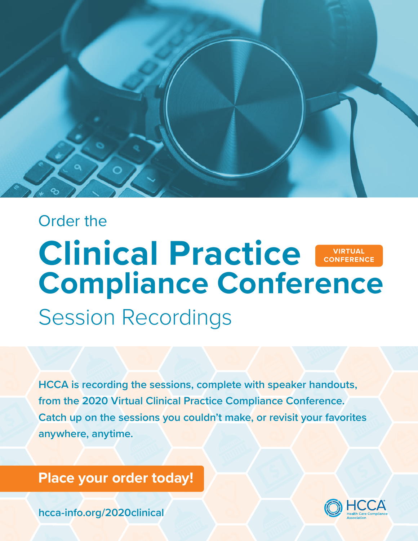

# Session Recordings Order the **Clinical Practice Compliance Conference VIRTUAL CONFERENCE**

**HCCA is recording the sessions, complete with speaker handouts, from the 2020 Virtual Clinical Practice Compliance Conference. Catch up on the sessions you couldn't make, or revisit your favorites anywhere, anytime.**

# **[Place your order today!](https://hcca-info.org/2020clinical)**

**[hcca-info.org/2020clinical](https://hcca-info.org/2020clinical)**